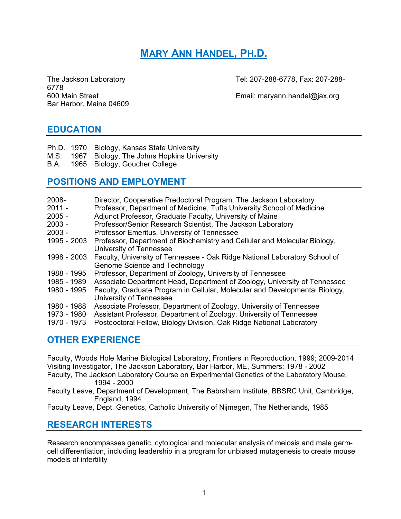# **MARY ANN HANDEL, PH.D.**

6778 Bar Harbor, Maine 04609

The Jackson Laboratory Tel: 207-288-6778, Fax: 207-288-

600 Main Street Email: maryann.handel@jax.org

### **EDUCATION**

|  | Ph.D. 1970 Biology, Kansas State University     |
|--|-------------------------------------------------|
|  | M.S. 1967 Biology, The Johns Hopkins University |
|  | B.A. 1965 Biology, Goucher College              |

### **POSITIONS AND EMPLOYMENT**

| 2008-<br>$2011 -$<br>$2005 -$ | Director, Cooperative Predoctoral Program, The Jackson Laboratory<br>Professor, Department of Medicine, Tufts University School of Medicine<br>Adjunct Professor, Graduate Faculty, University of Maine |
|-------------------------------|---------------------------------------------------------------------------------------------------------------------------------------------------------------------------------------------------------|
| $2003 -$                      | Professor/Senior Research Scientist, The Jackson Laboratory                                                                                                                                             |
| $2003 -$                      | Professor Emeritus, University of Tennessee                                                                                                                                                             |
| 1995 - 2003                   | Professor, Department of Biochemistry and Cellular and Molecular Biology,<br>University of Tennessee                                                                                                    |
| 1998 - 2003                   | Faculty, University of Tennessee - Oak Ridge National Laboratory School of<br>Genome Science and Technology                                                                                             |
| 1988 - 1995                   | Professor, Department of Zoology, University of Tennessee                                                                                                                                               |
| 1985 - 1989                   | Associate Department Head, Department of Zoology, University of Tennessee                                                                                                                               |
| 1980 - 1995                   | Faculty, Graduate Program in Cellular, Molecular and Developmental Biology,<br>University of Tennessee                                                                                                  |
| 1980 - 1988                   | Associate Professor, Department of Zoology, University of Tennessee                                                                                                                                     |
| 1973 - 1980                   | Assistant Professor, Department of Zoology, University of Tennessee                                                                                                                                     |
| 1970 - 1973                   | Postdoctoral Fellow, Biology Division, Oak Ridge National Laboratory                                                                                                                                    |

## **OTHER EXPERIENCE**

Faculty, Woods Hole Marine Biological Laboratory, Frontiers in Reproduction, 1999; 2009-2014 Visiting Investigator, The Jackson Laboratory, Bar Harbor, ME, Summers: 1978 - 2002 Faculty, The Jackson Laboratory Course on Experimental Genetics of the Laboratory Mouse,

1994 - 2000

Faculty Leave, Department of Development, The Babraham Institute, BBSRC Unit, Cambridge, England, 1994

Faculty Leave, Dept. Genetics, Catholic University of Nijmegen, The Netherlands, 1985

## **RESEARCH INTERESTS**

Research encompasses genetic, cytological and molecular analysis of meiosis and male germcell differentiation, including leadership in a program for unbiased mutagenesis to create mouse models of infertility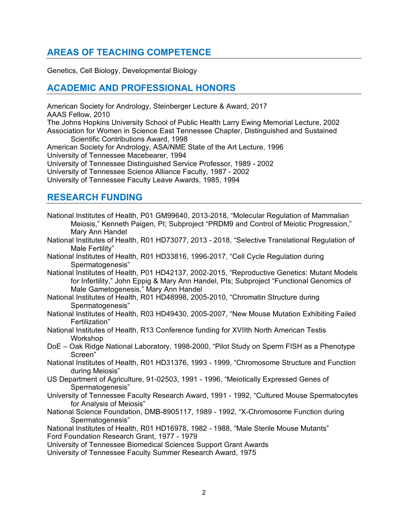# **AREAS OF TEACHING COMPETENCE**

Genetics, Cell Biology, Developmental Biology

### **ACADEMIC AND PROFESSIONAL HONORS**

American Society for Andrology, Steinberger Lecture & Award, 2017 AAAS Fellow, 2010 The Johns Hopkins University School of Public Health Larry Ewing Memorial Lecture, 2002 Association for Women in Science East Tennessee Chapter, Distinguished and Sustained Scientific Contributions Award, 1998 American Society for Andrology, ASA/NME State of the Art Lecture, 1996 University of Tennessee Macebearer, 1994 University of Tennessee Distinguished Service Professor, 1989 - 2002 University of Tennessee Science Alliance Faculty, 1987 - 2002

University of Tennessee Faculty Leave Awards, 1985, 1994

# **RESEARCH FUNDING**

- National Institutes of Health, P01 GM99640, 2013-2018, "Molecular Regulation of Mammalian Meiosis," Kenneth Paigen, PI; Subproject "PRDM9 and Control of Meiotic Progression," Mary Ann Handel
- National Institutes of Health, R01 HD73077, 2013 2018, "Selective Translational Regulation of Male Fertility"
- National Institutes of Health, R01 HD33816, 1996-2017, "Cell Cycle Regulation during Spermatogenesis"
- National Institutes of Health, P01 HD42137, 2002-2015, "Reproductive Genetics: Mutant Models for Infertility," John Eppig & Mary Ann Handel, PIs; Subproject "Functional Genomics of Male Gametogenesis," Mary Ann Handel
- National Institutes of Health, R01 HD48998, 2005-2010, "Chromatin Structure during Spermatogenesis"
- National Institutes of Health, R03 HD49430, 2005-2007, "New Mouse Mutation Exhibiting Failed Fertilization"
- National Institutes of Health, R13 Conference funding for XVIIth North American Testis Workshop
- DoE Oak Ridge National Laboratory, 1998-2000, "Pilot Study on Sperm FISH as a Phenotype Screen"
- National Institutes of Health, R01 HD31376, 1993 1999, "Chromosome Structure and Function during Meiosis"
- US Department of Agriculture, 91-02503, 1991 1996, "Meiotically Expressed Genes of Spermatogenesis"
- University of Tennessee Faculty Research Award, 1991 1992, "Cultured Mouse Spermatocytes for Analysis of Meiosis"
- National Science Foundation, DMB-8905117, 1989 1992, "X-Chromosome Function during Spermatogenesis"

National Institutes of Health, R01 HD16978, 1982 - 1988, "Male Sterile Mouse Mutants" Ford Foundation Research Grant, 1977 - 1979

University of Tennessee Biomedical Sciences Support Grant Awards

University of Tennessee Faculty Summer Research Award, 1975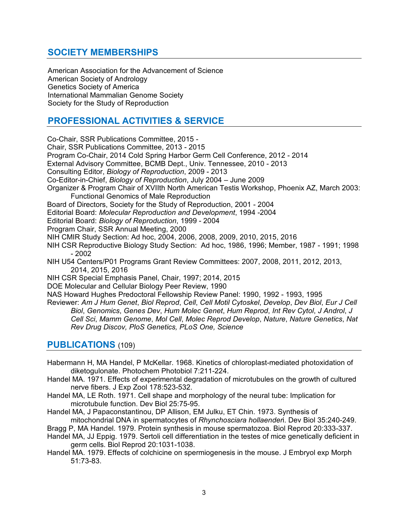## **SOCIETY MEMBERSHIPS**

American Association for the Advancement of Science American Society of Andrology Genetics Society of America International Mammalian Genome Society Society for the Study of Reproduction

### **PROFESSIONAL ACTIVITIES & SERVICE**

Co-Chair, SSR Publications Committee, 2015 - Chair, SSR Publications Committee, 2013 - 2015 Program Co-Chair, 2014 Cold Spring Harbor Germ Cell Conference, 2012 - 2014 External Advisory Committee, BCMB Dept., Univ. Tennessee, 2010 - 2013 Consulting Editor, *Biology of Reproduction*, 2009 - 2013 Co-Editor-in-Chief, *Biology of Reproduction*, July 2004 – June 2009 Organizer & Program Chair of XVIIth North American Testis Workshop, Phoenix AZ, March 2003: Functional Genomics of Male Reproduction Board of Directors, Society for the Study of Reproduction, 2001 - 2004 Editorial Board: *Molecular Reproduction and Development*, 1994 -2004 Editorial Board: *Biology of Reproduction*, 1999 - 2004 Program Chair, SSR Annual Meeting, 2000 NIH CMIR Study Section: Ad hoc, 2004, 2006, 2008, 2009, 2010, 2015, 2016 NIH CSR Reproductive Biology Study Section: Ad hoc, 1986, 1996; Member, 1987 - 1991; 1998 - 2002 NIH U54 Centers/P01 Programs Grant Review Committees: 2007, 2008, 2011, 2012, 2013, 2014, 2015, 2016 NIH CSR Special Emphasis Panel, Chair, 1997; 2014, 2015 DOE Molecular and Cellular Biology Peer Review, 1990 NAS Howard Hughes Predoctoral Fellowship Review Panel: 1990, 1992 - 1993, 1995 Reviewer: *Am J Hum Genet*, *Biol Reprod*, *Cell*, *Cell Motil Cytoskel*, *Develop*, *Dev Biol*, *Eur J Cell Biol*, *Genomics*, *Genes Dev*, *Hum Molec Genet*, *Hum Reprod*, *Int Rev Cytol*, *J Androl*, *J Cell Sci*, *Mamm Genome*, *Mol Cell*, *Molec Reprod Develop*, *Nature*, *Nature Genetics*, *Nat* 

### **PUBLICATIONS** (109)

- Habermann H, MA Handel, P McKellar. 1968. Kinetics of chloroplast-mediated photoxidation of diketogulonate. Photochem Photobiol 7:211-224.
- Handel MA. 1971. Effects of experimental degradation of microtubules on the growth of cultured nerve fibers. J Exp Zool 178:523-532.
- Handel MA, LE Roth. 1971. Cell shape and morphology of the neural tube: Implication for microtubule function. Dev Biol 25:75-95.

*Rev Drug Discov, PloS Genetics, PLoS One, Science*

- Handel MA, J Papaconstantinou, DP Allison, EM Julku, ET Chin. 1973. Synthesis of mitochondrial DNA in spermatocytes of *Rhynchosciara hollaender*i. Dev Biol 35:240-249.
- Bragg P, MA Handel. 1979. Protein synthesis in mouse spermatozoa. Biol Reprod 20:333-337.
- Handel MA, JJ Eppig. 1979. Sertoli cell differentiation in the testes of mice genetically deficient in germ cells. Biol Reprod 20:1031-1038.
- Handel MA. 1979. Effects of colchicine on spermiogenesis in the mouse. J Embryol exp Morph 51:73-83.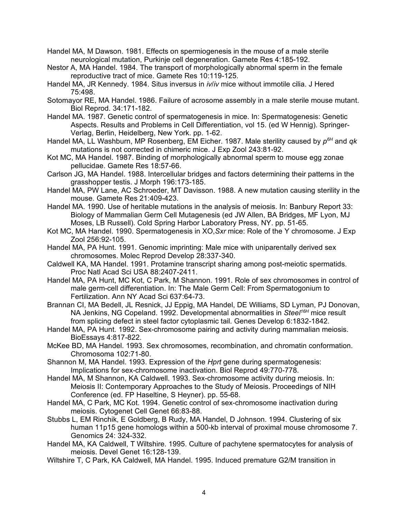Handel MA, M Dawson. 1981. Effects on spermiogenesis in the mouse of a male sterile neurological mutation, Purkinje cell degeneration. Gamete Res 4:185-192.

- Nestor A, MA Handel. 1984. The transport of morphologically abnormal sperm in the female reproductive tract of mice. Gamete Res 10:119-125.
- Handel MA, JR Kennedy. 1984. Situs inversus in *iv*/*iv* mice without immotile cilia. J Hered 75:498.
- Sotomayor RE, MA Handel. 1986. Failure of acrosome assembly in a male sterile mouse mutant. Biol Reprod. 34:171-182.
- Handel MA. 1987. Genetic control of spermatogenesis in mice. In: Spermatogenesis: Genetic Aspects. Results and Problems in Cell Differentiation, vol 15. (ed W Hennig). Springer-Verlag, Berlin, Heidelberg, New York. pp. 1-62.
- Handel MA, LL Washburn, MP Rosenberg, EM Eicher. 1987. Male sterility caused by *p6H* and *qk* mutations is not corrected in chimeric mice. J Exp Zool 243:81-92.
- Kot MC, MA Handel. 1987. Binding of morphologically abnormal sperm to mouse egg zonae pellucidae. Gamete Res 18:57-66.
- Carlson JG, MA Handel. 1988. Intercellular bridges and factors determining their patterns in the grasshopper testis. J Morph 196:173-185.
- Handel MA, PW Lane, AC Schroeder, MT Davisson. 1988. A new mutation causing sterility in the mouse. Gamete Res 21:409-423.
- Handel MA. 1990. Use of heritable mutations in the analysis of meiosis. In: Banbury Report 33: Biology of Mammalian Germ Cell Mutagenesis (ed JW Allen, BA Bridges, MF Lyon, MJ Moses, LB Russell). Cold Spring Harbor Laboratory Press, NY. pp. 51-65.
- Kot MC, MA Handel. 1990. Spermatogenesis in XO,*Sxr* mice: Role of the Y chromosome. J Exp Zool 256:92-105.
- Handel MA, PA Hunt. 1991. Genomic imprinting: Male mice with uniparentally derived sex chromosomes. Molec Reprod Develop 28:337-340.
- Caldwell KA, MA Handel. 1991. Protamine transcript sharing among post-meiotic spermatids. Proc Natl Acad Sci USA 88:2407-2411.
- Handel MA, PA Hunt, MC Kot, C Park, M Shannon. 1991. Role of sex chromosomes in control of male germ-cell differentiation. In: The Male Germ Cell: From Spermatogonium to Fertilization. Ann NY Acad Sci 637:64-73.
- Brannan CI, MA Bedell, JL Resnick, JJ Eppig, MA Handel, DE Williams, SD Lyman, PJ Donovan, NA Jenkins, NG Copeland. 1992. Developmental abnormalities in *Steel16H* mice result from splicing defect in steel factor cytoplasmic tail. Genes Develop 6:1832-1842.
- Handel MA, PA Hunt. 1992. Sex-chromosome pairing and activity during mammalian meiosis. BioEssays 4:817-822.
- McKee BD, MA Handel. 1993. Sex chromosomes, recombination, and chromatin conformation. Chromosoma 102:71-80.
- Shannon M, MA Handel. 1993. Expression of the *Hprt* gene during spermatogenesis: Implications for sex-chromosome inactivation. Biol Reprod 49:770-778.
- Handel MA, M Shannon, KA Caldwell. 1993. Sex-chromosome activity during meiosis. In: Meiosis II: Contemporary Approaches to the Study of Meiosis. Proceedings of NIH Conference (ed. FP Haseltine, S Heyner). pp. 55-68.
- Handel MA, C Park, MC Kot. 1994. Genetic control of sex-chromosome inactivation during meiosis. Cytogenet Cell Genet 66:83-88.
- Stubbs L, EM Rinchik, E Goldberg, B Rudy, MA Handel, D Johnson. 1994. Clustering of six human 11p15 gene homologs within a 500-kb interval of proximal mouse chromosome 7. Genomics 24: 324-332.
- Handel MA, KA Caldwell, T Wiltshire. 1995. Culture of pachytene spermatocytes for analysis of meiosis. Devel Genet 16:128-139.
- Wiltshire T, C Park, KA Caldwell, MA Handel. 1995. Induced premature G2/M transition in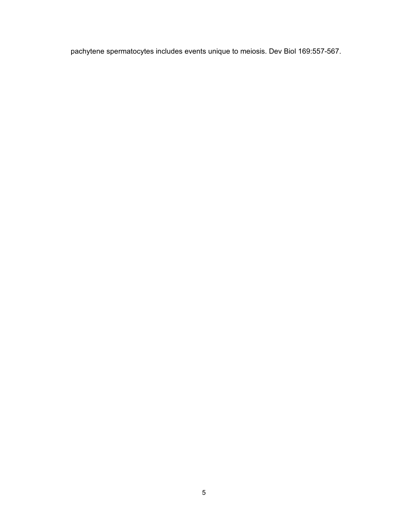pachytene spermatocytes includes events unique to meiosis. Dev Biol 169:557-567.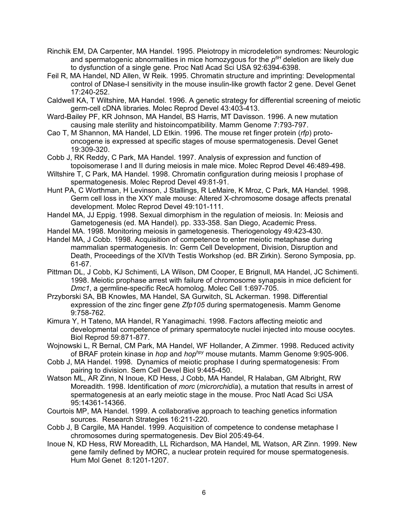- Rinchik EM, DA Carpenter, MA Handel. 1995. Pleiotropy in microdeletion syndromes: Neurologic and spermatogenic abnormalities in mice homozygous for the *p6H* deletion are likely due to dysfunction of a single gene. Proc Natl Acad Sci USA 92:6394-6398.
- Feil R, MA Handel, ND Allen, W Reik. 1995. Chromatin structure and imprinting: Developmental control of DNase-I sensitivity in the mouse insulin-like growth factor 2 gene. Devel Genet 17:240-252.
- Caldwell KA, T Wiltshire, MA Handel. 1996. A genetic strategy for differential screening of meiotic germ-cell cDNA libraries. Molec Reprod Devel 43:403-413.
- Ward-Bailey PF, KR Johnson, MA Handel, BS Harris, MT Davisson. 1996. A new mutation causing male sterility and histoincompatibility. Mamm Genome 7:793-797.
- Cao T, M Shannon, MA Handel, LD Etkin. 1996. The mouse ret finger protein (*rfp*) protooncogene is expressed at specific stages of mouse spermatogenesis. Devel Genet 19:309-320.
- Cobb J, RK Reddy, C Park, MA Handel. 1997. Analysis of expression and function of topoisomerase I and II during meiosis in male mice. Molec Reprod Devel 46:489-498.
- Wiltshire T, C Park, MA Handel. 1998. Chromatin configuration during meiosis I prophase of spermatogenesis. Molec Reprod Devel 49:81-91.
- Hunt PA, C Worthman, H Levinson, J Stallings, R LeMaire, K Mroz, C Park, MA Handel. 1998. Germ cell loss in the XXY male mouse: Altered X-chromosome dosage affects prenatal development. Molec Reprod Devel 49:101-111.
- Handel MA, JJ Eppig. 1998. Sexual dimorphism in the regulation of meiosis. In: Meiosis and Gametogenesis (ed. MA Handel). pp. 333-358. San Diego, Academic Press.
- Handel MA. 1998. Monitoring meiosis in gametogenesis. Theriogenology 49:423-430.
- Handel MA, J Cobb. 1998. Acquisition of competence to enter meiotic metaphase during mammalian spermatogenesis. In: Germ Cell Development, Division, Disruption and Death, Proceedings of the XIVth Testis Workshop (ed. BR Zirkin). Serono Symposia, pp. 61-67.
- Pittman DL, J Cobb, KJ Schimenti, LA Wilson, DM Cooper, E Brignull, MA Handel, JC Schimenti. 1998. Meiotic prophase arrest with failure of chromosome synapsis in mice deficient for *Dmc1*, a germline-specific RecA homolog. Molec Cell 1:697-705.
- Przyborski SA, BB Knowles, MA Handel, SA Gurwitch, SL Ackerman. 1998. Differential expression of the zinc finger gene *Zfp105* during spermatogenesis. Mamm Genome 9:758-762.
- Kimura Y, H Tateno, MA Handel, R Yanagimachi. 1998. Factors affecting meiotic and developmental competence of primary spermatocyte nuclei injected into mouse oocytes. Biol Reprod 59:871-877.
- Wojnowski L, R Bernal, CM Park, MA Handel, WF Hollander, A Zimmer. 1998. Reduced activity of BRAF protein kinase in *hop* and *hop<sup>hpy</sup>* mouse mutants. Mamm Genome 9:905-906.
- Cobb J, MA Handel. 1998. Dynamics of meiotic prophase I during spermatogenesis: From pairing to division. Sem Cell Devel Biol 9:445-450.
- Watson ML, AR Zinn, N Inoue, KD Hess, J Cobb, MA Handel, R Halaban, GM Albright, RW Moreadith. 1998. Identification of *morc* (*microrchidia*), a mutation that results in arrest of spermatogenesis at an early meiotic stage in the mouse. Proc Natl Acad Sci USA 95:14361-14366.
- Courtois MP, MA Handel. 1999. A collaborative approach to teaching genetics information sources. Research Strategies 16:211-220.
- Cobb J, B Cargile, MA Handel. 1999. Acquisition of competence to condense metaphase I chromosomes during spermatogenesis. Dev Biol 205:49-64.
- Inoue N, KD Hess, RW Moreadith, LL Richardson, MA Handel, ML Watson, AR Zinn. 1999. New gene family defined by MORC, a nuclear protein required for mouse spermatogenesis. Hum Mol Genet 8:1201-1207.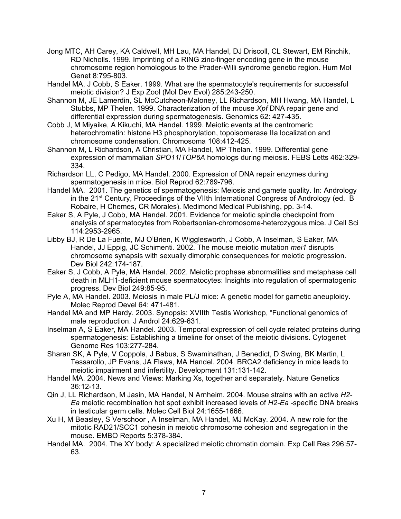- Jong MTC, AH Carey, KA Caldwell, MH Lau, MA Handel, DJ Driscoll, CL Stewart, EM Rinchik, RD Nicholls. 1999. Imprinting of a RING zinc-finger encoding gene in the mouse chromosome region homologous to the Prader-Willi syndrome genetic region. Hum Mol Genet 8:795-803.
- Handel MA, J Cobb, S Eaker. 1999. What are the spermatocyte's requirements for successful meiotic division? J Exp Zool (Mol Dev Evol) 285:243-250.
- Shannon M, JE Lamerdin, SL McCutcheon-Maloney, LL Richardson, MH Hwang, MA Handel, L Stubbs, MP Thelen. 1999. Characterization of the mouse *Xpf* DNA repair gene and differential expression during spermatogenesis. Genomics 62: 427-435.
- Cobb J, M Miyaike, A Kikuchi, MA Handel. 1999. Meiotic events at the centromeric heterochromatin: histone H3 phosphorylation, topoisomerase IIa localization and chromosome condensation. Chromosoma 108:412-425.
- Shannon M, L Richardson, A Christian, MA Handel, MP Thelan. 1999. Differential gene expression of mammalian *SPO11*/*TOP6A* homologs during meiosis. FEBS Letts 462:329- 334.
- Richardson LL, C Pedigo, MA Handel. 2000. Expression of DNA repair enzymes during spermatogenesis in mice. Biol Reprod 62:789-796.
- Handel MA. 2001. The genetics of spermatogenesis: Meiosis and gamete quality. In: Andrology in the 21<sup>st</sup> Century, Proceedings of the VIIth International Congress of Andrology (ed. B Robaire, H Chemes, CR Morales). Medimond Medical Publishing, pp. 3-14.
- Eaker S, A Pyle, J Cobb, MA Handel. 2001. Evidence for meiotic spindle checkpoint from analysis of spermatocytes from Robertsonian-chromosome-heterozygous mice. J Cell Sci 114:2953-2965.
- Libby BJ, R De La Fuente, MJ O'Brien, K Wigglesworth, J Cobb, A Inselman, S Eaker, MA Handel, JJ Eppig, JC Schimenti. 2002. The mouse meiotic mutation *mei1* disrupts chromosome synapsis with sexually dimorphic consequences for meiotic progression. Dev Biol 242:174-187.
- Eaker S, J Cobb, A Pyle, MA Handel. 2002. Meiotic prophase abnormalities and metaphase cell death in MLH1-deficient mouse spermatocytes: Insights into regulation of spermatogenic progress. Dev Biol 249:85-95.
- Pyle A, MA Handel. 2003. Meiosis in male PL/J mice: A genetic model for gametic aneuploidy. Molec Reprod Devel 64: 471-481.
- Handel MA and MP Hardy. 2003. Synopsis: XVIIth Testis Workshop, "Functional genomics of male reproduction. J Androl 24:629-631.
- Inselman A, S Eaker, MA Handel. 2003. Temporal expression of cell cycle related proteins during spermatogenesis: Establishing a timeline for onset of the meiotic divisions. Cytogenet Genome Res 103:277-284.
- Sharan SK, A Pyle, V Coppola, J Babus, S Swaminathan, J Benedict, D Swing, BK Martin, L Tessarollo, JP Evans, JA Flaws, MA Handel. 2004. BRCA2 deficiency in mice leads to meiotic impairment and infertility. Development 131:131-142.
- Handel MA. 2004. News and Views: Marking Xs, together and separately. Nature Genetics 36:12-13.
- Qin J, LL Richardson, M Jasin, MA Handel, N Arnheim. 2004. Mouse strains with an active *H2- Ea* meiotic recombination hot spot exhibit increased levels of *H2-Ea* -specific DNA breaks in testicular germ cells. Molec Cell Biol 24:1655-1666.
- Xu H, M Beasley, S Verschoor , A Inselman, MA Handel, MJ McKay. 2004. A new role for the mitotic RAD21/SCC1 cohesin in meiotic chromosome cohesion and segregation in the mouse. EMBO Reports 5:378-384.
- Handel MA. 2004. The XY body: A specialized meiotic chromatin domain. Exp Cell Res 296:57- 63.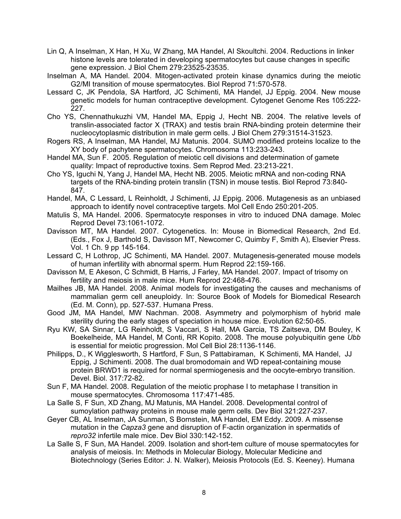- Lin Q, A Inselman, X Han, H Xu, W Zhang, MA Handel, AI Skoultchi. 2004. Reductions in linker histone levels are tolerated in developing spermatocytes but cause changes in specific gene expression. J Biol Chem 279:23525-23535.
- Inselman A, MA Handel. 2004. Mitogen-activated protein kinase dynamics during the meiotic G2/MI transition of mouse spermatocytes. Biol Reprod 71:570-578.
- Lessard C, JK Pendola, SA Hartford, JC Schimenti, MA Handel, JJ Eppig. 2004. New mouse genetic models for human contraceptive development. Cytogenet Genome Res 105:222- 227.
- Cho YS, Chennathukuzhi VM, Handel MA, Eppig J, Hecht NB. 2004. The relative levels of translin-associated factor X (TRAX) and testis brain RNA-binding protein determine their nucleocytoplasmic distribution in male germ cells. J Biol Chem 279:31514-31523.
- Rogers RS, A Inselman, MA Handel, MJ Matunis. 2004. SUMO modified proteins localize to the XY body of pachytene spermatocytes. Chromosoma 113:233-243.
- Handel MA, Sun F. 2005. Regulation of meiotic cell divisions and determination of gamete quality: Impact of reproductive toxins. Sem Reprod Med. 23:213-221.
- Cho YS, Iguchi N, Yang J, Handel MA, Hecht NB. 2005. Meiotic mRNA and non-coding RNA targets of the RNA-binding protein translin (TSN) in mouse testis. Biol Reprod 73:840- 847.
- Handel, MA, C Lessard, L Reinholdt, J Schimenti, JJ Eppig. 2006. Mutagenesis as an unbiased approach to identify novel contraceptive targets. Mol Cell Endo 250:201-205.
- Matulis S, MA Handel. 2006. Spermatocyte responses in vitro to induced DNA damage. Molec Reprod Devel 73:1061-1072.
- Davisson MT, MA Handel. 2007. Cytogenetics. In: Mouse in Biomedical Research, 2nd Ed. (Eds., Fox J, Barthold S, Davisson MT, Newcomer C, Quimby F, Smith A), Elsevier Press. Vol. 1 Ch. 9 pp 145-164.
- Lessard C, H Lothrop, JC Schimenti, MA Handel. 2007. Mutagenesis-generated mouse models of human infertility with abnormal sperm. Hum Reprod 22:159-166.
- Davisson M, E Akeson, C Schmidt, B Harris, J Farley, MA Handel. 2007. Impact of trisomy on fertility and meiosis in male mice. Hum Reprod 22:468-476.
- Mailhes JB, MA Handel. 2008. Animal models for investigating the causes and mechanisms of mammalian germ cell aneuploidy. In: Source Book of Models for Biomedical Research (Ed. M. Conn), pp. 527-537. Humana Press.
- Good JM, MA Handel, MW Nachman. 2008. Asymmetry and polymorphism of hybrid male sterility during the early stages of speciation in house mice. Evolution 62:50-65.
- Ryu KW, SA Sinnar, LG Reinholdt, S Vaccari, S Hall, MA Garcia, TS Zaitseva, DM Bouley, K Boekelheide, MA Handel, M Conti, RR Kopito. 2008. The mouse polyubiquitin gene *Ubb* is essential for meiotic progression. Mol Cell Biol 28:1136-1146.
- Philipps, D., K Wigglesworth, S Hartford, F Sun, S Pattabiraman, K Schimenti, MA Handel, JJ Eppig, J Schimenti. 2008. The dual bromodomain and WD repeat-containing mouse protein BRWD1 is required for normal spermiogenesis and the oocyte-embryo transition. Devel. Biol. 317:72-82.
- Sun F, MA Handel. 2008. Regulation of the meiotic prophase I to metaphase I transition in mouse spermatocytes. Chromosoma 117:471-485.
- La Salle S, F Sun, XD Zhang, MJ Matunis, MA Handel. 2008. Developmental control of sumoylation pathway proteins in mouse male germ cells. Dev Biol 321:227-237.
- Geyer CB, AL Inselman, JA Sunman, S Bornstein, MA Handel, EM Eddy. 2009. A missense mutation in the *Capza3* gene and disruption of F-actin organization in spermatids of *repro32* infertile male mice. Dev Biol 330:142-152.
- La Salle S, F Sun, MA Handel. 2009. Isolation and short-tem culture of mouse spermatocytes for analysis of meiosis. In: Methods in Molecular Biology, Molecular Medicine and Biotechnology (Series Editor: J. N. Walker), Meiosis Protocols (Ed. S. Keeney). Humana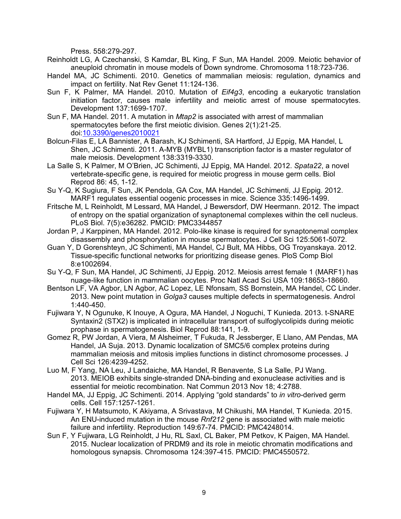Press. 558:279-297.

- Reinholdt LG, A Czechanski, S Kamdar, BL King, F Sun, MA Handel. 2009. Meiotic behavior of aneuploid chromatin in mouse models of Down syndrome. Chromosoma 118:723-736.
- Handel MA, JC Schimenti. 2010. Genetics of mammalian meiosis: regulation, dynamics and impact on fertility. Nat Rev Genet 11:124-136.
- Sun F, K Palmer, MA Handel. 2010. Mutation of *Eif4g3*, encoding a eukaryotic translation initiation factor, causes male infertility and meiotic arrest of mouse spermatocytes. Development 137:1699-1707.
- Sun F, MA Handel. 2011. A mutation in *Mtap2* is associated with arrest of mammalian spermatocytes before the first meiotic division. Genes 2(1):21-25. doi:10.3390/genes2010021
- Bolcun-Filas E, LA Bannister, A Barash, KJ Schimenti, SA Hartford, JJ Eppig, MA Handel, L Shen, JC Schimenti. 2011. A-MYB (MYBL1) transcription factor is a master regulator of male meiosis. Development 138:3319-3330.
- La Salle S, K Palmer, M O'Brien, JC Schimenti, JJ Eppig, MA Handel. 2012. *Spata22*, a novel vertebrate-specific gene, is required for meiotic progress in mouse germ cells. Biol Reprod 86: 45, 1-12.
- Su Y-Q, K Sugiura, F Sun, JK Pendola, GA Cox, MA Handel, JC Schimenti, JJ Eppig. 2012. MARF1 regulates essential oogenic processes in mice. Science 335:1496-1499.
- Fritsche M, L Reinholdt, M Lessard, MA Handel, J Bewersdorf, DW Heermann. 2012. The impact of entropy on the spatial organization of synaptonemal complexes within the cell nucleus. PLoS Biol. 7(5):e36282. PMCID: PMC3344857
- Jordan P, J Karppinen, MA Handel. 2012. Polo-like kinase is required for synaptonemal complex disassembly and phosphorylation in mouse spermatocytes. J Cell Sci 125:5061-5072.
- Guan Y, D Gorenshteyn, JC Schimenti, MA Handel, CJ Bult, MA Hibbs, OG Troyanskaya. 2012. Tissue-specific functional networks for prioritizing disease genes. PloS Comp Biol 8:e1002694.
- Su Y-Q, F Sun, MA Handel, JC Schimenti, JJ Eppig. 2012. Meiosis arrest female 1 (MARF1) has nuage-like function in mammalian oocytes. Proc Natl Acad Sci USA 109:18653-18660.
- Bentson LF, VA Agbor, LN Agbor, AC Lopez, LE Nfonsam, SS Bornstein, MA Handel, CC Linder. 2013. New point mutation in *Golga3* causes multiple defects in spermatogenesis. Androl 1:440-450.
- Fujiwara Y, N Ogunuke, K Inouye, A Ogura, MA Handel, J Noguchi, T Kunieda. 2013. t-SNARE Syntaxin2 (STX2) is implicated in intracellular transport of sulfoglycolipids during meiotic prophase in spermatogenesis. Biol Reprod 88:141, 1-9.
- Gomez R, PW Jordan, A Viera, M Alsheimer, T Fukuda, R Jessberger, E Llano, AM Pendas, MA Handel, JA Suja. 2013. Dynamic localization of SMC5/6 complex proteins during mammalian meiosis and mitosis implies functions in distinct chromosome processes. J Cell Sci 126:4239-4252.
- Luo M, F Yang, NA Leu, J Landaiche, MA Handel, R Benavente, S La Salle, PJ Wang. 2013. MEIOB exhibits single-stranded DNA-binding and exonuclease activities and is essential for meiotic recombination. Nat Commun 2013 Nov 18; 4:2788.
- Handel MA, JJ Eppig, JC Schimenti. 2014. Applying "gold standards" to *in vitro*-derived germ cells. Cell 157:1257-1261.
- Fujiwara Y, H Matsumoto, K Akiyama, A Srivastava, M Chikushi, MA Handel, T Kunieda. 2015. An ENU-induced mutation in the mouse *Rnf212* gene is associated with male meiotic failure and infertility. Reproduction 149:67-74. PMCID: PMC4248014.
- Sun F, Y Fujiwara, LG Reinholdt, J Hu, RL Saxl, CL Baker, PM Petkov, K Paigen, MA Handel. 2015. Nuclear localization of PRDM9 and its role in meiotic chromatin modifications and homologous synapsis. Chromosoma 124:397-415. PMCID: PMC4550572.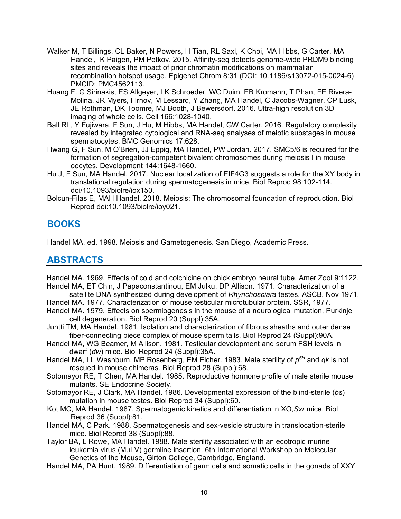- Walker M, T Billings, CL Baker, N Powers, H Tian, RL Saxl, K Choi, MA Hibbs, G Carter, MA Handel, K Paigen, PM Petkov. 2015. Affinity-seq detects genome-wide PRDM9 binding sites and reveals the impact of prior chromatin modifications on mammalian recombination hotspot usage. Epigenet Chrom 8:31 (DOI: 10.1186/s13072-015-0024-6) PMCID: PMC4562113.
- Huang F. G Sirinakis, ES Allgeyer, LK Schroeder, WC Duim, EB Kromann, T Phan, FE Rivera-Molina, JR Myers, I Irnov, M Lessard, Y Zhang, MA Handel, C Jacobs-Wagner, CP Lusk, JE Rothman, DK Toomre, MJ Booth, J Bewersdorf. 2016. Ultra-high resolution 3D imaging of whole cells. Cell 166:1028-1040.
- Ball RL, Y Fujiwara, F Sun, J Hu, M Hibbs, MA Handel, GW Carter. 2016. Regulatory complexity revealed by integrated cytological and RNA-seq analyses of meiotic substages in mouse spermatocytes. BMC Genomics 17:628.
- Hwang G, F Sun, M O'Brien, JJ Eppig, MA Handel, PW Jordan. 2017. SMC5/6 is required for the formation of segregation-competent bivalent chromosomes during meiosis I in mouse oocytes. Development 144:1648-1660.
- Hu J, F Sun, MA Handel. 2017. Nuclear localization of EIF4G3 suggests a role for the XY body in translational regulation during spermatogenesis in mice. Biol Reprod 98:102-114. doi/10.1093/biolre/iox150.
- Bolcun-Filas E, MAH Handel. 2018. Meiosis: The chromosomal foundation of reproduction. Biol Reprod doi:10.1093/biolre/ioy021.

## **BOOKS**

Handel MA, ed. 1998. Meiosis and Gametogenesis. San Diego, Academic Press.

# **ABSTRACTS**

Handel MA. 1969. Effects of cold and colchicine on chick embryo neural tube. Amer Zool 9:1122. Handel MA, ET Chin, J Papaconstantinou, EM Julku, DP Allison. 1971. Characterization of a

satellite DNA synthesized during development of *Rhynchosciara* testes. ASCB, Nov 1971. Handel MA. 1977. Characterization of mouse testicular microtubular protein. SSR, 1977.

- Handel MA. 1979. Effects on spermiogenesis in the mouse of a neurological mutation, Purkinje cell degeneration. Biol Reprod 20 (Suppl):35A.
- Juntti TM, MA Handel. 1981. Isolation and characterization of fibrous sheaths and outer dense fiber-connecting piece complex of mouse sperm tails. Biol Reprod 24 (Suppl):90A.
- Handel MA, WG Beamer, M Allison. 1981. Testicular development and serum FSH levels in dwarf (*dw*) mice. Biol Reprod 24 (Suppl):35A.
- Handel MA, LL Washburn, MP Rosenberg, EM Eicher. 1983. Male sterility of *p6H* and *qk* is not rescued in mouse chimeras. Biol Reprod 28 (Suppl):68.
- Sotomayor RE, T Chen, MA Handel. 1985. Reproductive hormone profile of male sterile mouse mutants. SE Endocrine Society.
- Sotomayor RE, J Clark, MA Handel. 1986. Developmental expression of the blind-sterile (*bs*) mutation in mouse testes. Biol Reprod 34 (Suppl):60.
- Kot MC, MA Handel. 1987. Spermatogenic kinetics and differentiation in XO,*Sxr* mice. Biol Reprod 36 (Suppl):81.
- Handel MA, C Park. 1988. Spermatogenesis and sex-vesicle structure in translocation-sterile mice. Biol Reprod 38 (Suppl):88.
- Taylor BA, L Rowe, MA Handel. 1988. Male sterility associated with an ecotropic murine leukemia virus (MuLV) germline insertion. 6th International Workshop on Molecular Genetics of the Mouse, Girton College, Cambridge, England.
- Handel MA, PA Hunt. 1989. Differentiation of germ cells and somatic cells in the gonads of XXY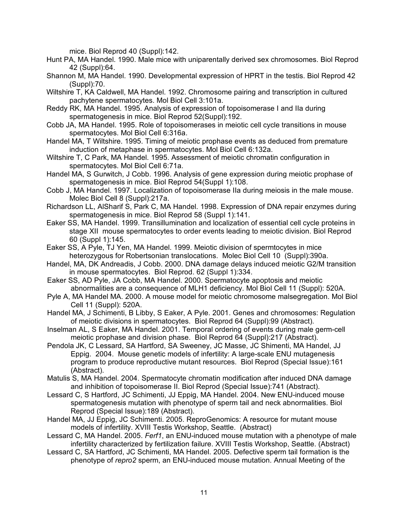mice. Biol Reprod 40 (Suppl):142.

Hunt PA, MA Handel. 1990. Male mice with uniparentally derived sex chromosomes. Biol Reprod 42 (Suppl):64.

Shannon M, MA Handel. 1990. Developmental expression of HPRT in the testis. Biol Reprod 42 (Suppl):70.

Wiltshire T, KA Caldwell, MA Handel. 1992. Chromosome pairing and transcription in cultured pachytene spermatocytes. Mol Biol Cell 3:101a.

Reddy RK, MA Handel. 1995. Analysis of expression of topoisomerase I and IIa during spermatogenesis in mice. Biol Reprod 52(Suppl):192.

Cobb JA, MA Handel. 1995. Role of topoisomerases in meiotic cell cycle transitions in mouse spermatocytes. Mol Biol Cell 6:316a.

Handel MA, T Wiltshire. 1995. Timing of meiotic prophase events as deduced from premature induction of metaphase in spermatocytes. Mol Biol Cell 6:132a.

Wiltshire T, C Park, MA Handel. 1995. Assessment of meiotic chromatin configuration in spermatocytes. Mol Biol Cell 6:71a.

Handel MA, S Gurwitch, J Cobb. 1996. Analysis of gene expression during meiotic prophase of spermatogenesis in mice. Biol Reprod 54(Suppl 1):108.

Cobb J, MA Handel. 1997. Localization of topoisomerase IIa during meiosis in the male mouse. Molec Biol Cell 8 (Suppl):217a.

Richardson LL, AlSharif S, Park C, MA Handel. 1998. Expression of DNA repair enzymes during spermatogenesis in mice. Biol Reprod 58 (Suppl 1):141.

Eaker SS, MA Handel. 1999. Transillumination and localization of essential cell cycle proteins in stage XII mouse spermatocytes to order events leading to meiotic division. Biol Reprod 60 (Suppl 1):145.

Eaker SS, A Pyle, TJ Yen, MA Handel. 1999. Meiotic division of spermtocytes in mice heterozygous for Robertsonian translocations. Molec Biol Cell 10 (Suppl):390a.

Handel, MA, DK Andreadis, J Cobb. 2000. DNA damage delays induced meiotic G2/M transition in mouse spermatocytes. Biol Reprod. 62 (Suppl 1):334.

Eaker SS, AD Pyle, JA Cobb, MA Handel. 2000. Spermatocyte apoptosis and meiotic abnormalities are a consequence of MLH1 deficiency. Mol Biol Cell 11 (Suppl): 520A.

Pyle A, MA Handel MA. 2000. A mouse model for meiotic chromosome malsegregation. Mol Biol Cell 11 (Suppl): 520A.

Handel MA, J Schimenti, B Libby, S Eaker, A Pyle. 2001. Genes and chromosomes: Regulation of meiotic divisions in spermatocytes. Biol Reprod 64 (Suppl):99 (Abstract).

Inselman AL, S Eaker, MA Handel. 2001. Temporal ordering of events during male germ-cell meiotic prophase and division phase. Biol Reprod 64 (Suppl):217 (Abstract).

Pendola JK, C Lessard, SA Hartford, SA Sweeney, JC Masse, JC Shimenti, MA Handel, JJ Eppig. 2004. Mouse genetic models of infertility: A large-scale ENU mutagenesis program to produce reproductive mutant resources. Biol Reprod (Special Issue):161 (Abstract).

Matulis S, MA Handel. 2004. Spermatocyte chromatin modification after induced DNA damage and inhibition of topoisomerase II. Biol Reprod (Special Issue):741 (Abstract).

Lessard C, S Hartford, JC Schimenti, JJ Eppig, MA Handel. 2004. New ENU-induced mouse spermatogenesis mutation with phenotype of sperm tail and neck abnormalities. Biol Reprod (Special Issue):189 (Abstract).

Handel MA, JJ Eppig, JC Schimenti. 2005. ReproGenomics: A resource for mutant mouse models of infertility. XVIII Testis Workshop, Seattle. (Abstract)

Lessard C, MA Handel. 2005. *Ferf1*, an ENU-induced mouse mutation with a phenotype of male infertility characterized by fertilization failure. XVIII Testis Workshop, Seattle. (Abstract)

Lessard C, SA Hartford, JC Schimenti, MA Handel. 2005. Defective sperm tail formation is the phenotype of *repro2* sperm, an ENU-induced mouse mutation. Annual Meeting of the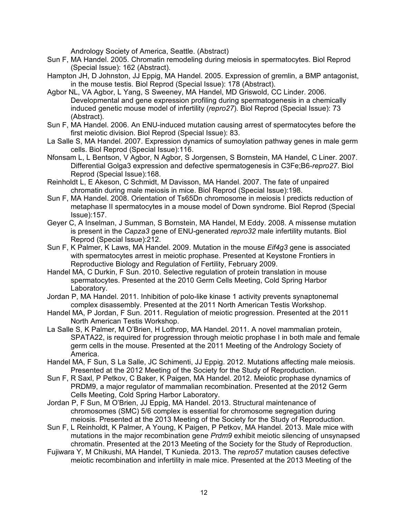Andrology Society of America, Seattle. (Abstract)

- Sun F, MA Handel. 2005. Chromatin remodeling during meiosis in spermatocytes. Biol Reprod (Special Issue): 162 (Abstract).
- Hampton JH, D Johnston, JJ Eppig, MA Handel. 2005. Expression of gremlin, a BMP antagonist, in the mouse testis. Biol Reprod (Special Issue): 178 (Abstract).
- Agbor NL, VA Agbor, L Yang, S Sweeney, MA Handel, MD Griswold, CC Linder. 2006. Developmental and gene expression profiling during spermatogenesis in a chemically induced genetic mouse model of infertility (*repro27*). Biol Reprod (Special Issue): 73 (Abstract).
- Sun F, MA Handel. 2006. An ENU-induced mutation causing arrest of spermatocytes before the first meiotic division. Biol Reprod (Special Issue): 83.
- La Salle S, MA Handel. 2007. Expression dynamics of sumoylation pathway genes in male germ cells. Biol Reprod (Special Issue):116.
- Nfonsam L, L Bentson, V Agbor, N Agbor, S Jorgensen, S Bornstein, MA Handel, C Liner. 2007. Differential Golga3 expression and defective spermatogenesis in C3Fe;B6-*repro27*. Biol Reprod (Special Issue):168.
- Reinholdt L, E Akeson, C Schmidt, M Davisson, MA Handel. 2007. The fate of unpaired chromatin during male meiosis in mice. Biol Reprod (Special Issue):198.
- Sun F, MA Handel. 2008. Orientation of Ts65Dn chromosome in meiosis I predicts reduction of metaphase II spermatocytes in a mouse model of Down syndrome. Biol Reprod (Special Issue):157.
- Geyer C, A Inselman, J Summan, S Bornstein, MA Handel, M Eddy. 2008. A missense mutation is present in the *Capza3* gene of ENU-generated *repro32* male infertility mutants. Biol Reprod (Special Issue):212.
- Sun F, K Palmer, K Laws, MA Handel. 2009. Mutation in the mouse *Eif4g3* gene is associated with spermatocytes arrest in meiotic prophase. Presented at Keystone Frontiers in Reproductive Biology and Regulation of Fertility, February 2009.
- Handel MA, C Durkin, F Sun. 2010. Selective regulation of protein translation in mouse spermatocytes. Presented at the 2010 Germ Cells Meeting, Cold Spring Harbor Laboratory.
- Jordan P, MA Handel. 2011. Inhibition of polo-like kinase 1 activity prevents synaptonemal complex disassembly. Presented at the 2011 North American Testis Workshop.
- Handel MA, P Jordan, F Sun. 2011. Regulation of meiotic progression. Presented at the 2011 North American Testis Workshop.
- La Salle S, K Palmer, M O'Brien, H Lothrop, MA Handel. 2011. A novel mammalian protein, SPATA22, is required for progression through meiotic prophase I in both male and female germ cells in the mouse. Presented at the 2011 Meeting of the Andrology Society of America.
- Handel MA, F Sun, S La Salle, JC Schimenti, JJ Eppig. 2012. Mutations affecting male meiosis. Presented at the 2012 Meeting of the Society for the Study of Reproduction.
- Sun F, R Saxl, P Petkov, C Baker, K Paigen, MA Handel. 2012. Meiotic prophase dynamics of PRDM9, a major regulator of mammalian recombination. Presented at the 2012 Germ Cells Meeting, Cold Spring Harbor Laboratory.
- Jordan P, F Sun, M O'Brien, JJ Eppig, MA Handel. 2013. Structural maintenance of chromosomes (SMC) 5/6 complex is essential for chromosome segregation during meiosis. Presented at the 2013 Meeting of the Society for the Study of Reproduction.
- Sun F, L Reinholdt, K Palmer, A Young, K Paigen, P Petkov, MA Handel. 2013. Male mice with mutations in the major recombination gene *Prdm9* exhibit meiotic silencing of unsynapsed chromatin. Presented at the 2013 Meeting of the Society for the Study of Reproduction.
- Fujiwara Y, M Chikushi, MA Handel, T Kunieda. 2013. The *repro57* mutation causes defective meiotic recombination and infertility in male mice. Presented at the 2013 Meeting of the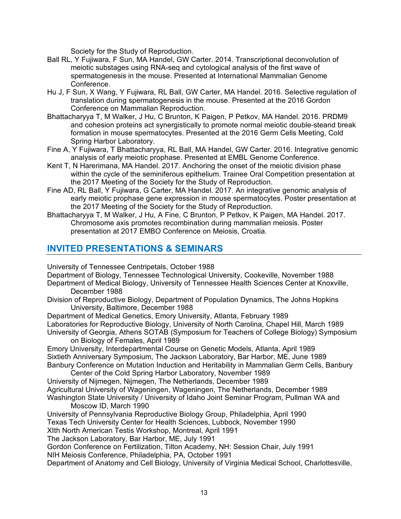Society for the Study of Reproduction.

- Ball RL, Y Fujiwara, F Sun, MA Handel, GW Carter. 2014. Transcriptional deconvolution of meiotic substages using RNA-seq and cytological analysis of the first wave of spermatogenesis in the mouse. Presented at International Mammalian Genome Conference.
- Hu J, F Sun, X Wang, Y Fujiwara, RL Ball, GW Carter, MA Handel. 2016. Selective regulation of translation during spermatogenesis in the mouse. Presented at the 2016 Gordon Conference on Mammalian Reproduction.
- Bhattacharyya T, M Walker, J Hu, C Brunton, K Paigen, P Petkov, MA Handel. 2016. PRDM9 and cohesion proteins act synergistically to promote normal meiotic double-steand break formation in mouse spermatocytes. Presented at the 2016 Germ Cells Meeting, Cold Spring Harbor Laboratory.
- Fine A, Y Fujiwara, T Bhattacharyya, RL Ball, MA Handel, GW Carter. 2016. Integrative genomic analysis of early meiotic prophase. Presented at EMBL Genome Conference.
- Kent T, N Harerimana, MA Handel. 2017. Anchoring the onset of the meiotic division phase within the cycle of the seminiferous epithelium. Trainee Oral Competition presentation at the 2017 Meeting of the Society for the Study of Reproduction.
- Fine AD, RL Ball, Y Fujiwara, G Carter, MA Handel. 2017. An integrative genomic analysis of early meiotic prophase gene expression in mouse spermatocytes. Poster presentation at the 2017 Meeting of the Society for the Study of Reproduction.
- Bhattacharyya T, M Walker, J Hu, A Fine, C Brunton, P Petkov, K Paigen, MA Handel. 2017. Chromosome axis promotes recombination during mammalian meiosis. Poster presentation at 2017 EMBO Conference on Meiosis, Croatia.

## **INVITED PRESENTATIONS & SEMINARS**

University of Tennessee Centripetals, October 1988

Department of Biology, Tennessee Technological University, Cookeville, November 1988 Department of Medical Biology, University of Tennessee Health Sciences Center at Knoxville, December 1988

Division of Reproductive Biology, Department of Population Dynamics, The Johns Hopkins University, Baltimore, December 1988

Department of Medical Genetics, Emory University, Atlanta, February 1989 Laboratories for Reproductive Biology, University of North Carolina, Chapel Hill, March 1989 University of Georgia, Athens SOTAB (Symposium for Teachers of College Biology) Symposium on Biology of Females, April 1989

Emory University, Interdepartmental Course on Genetic Models, Atlanta, April 1989 Sixtieth Anniversary Symposium, The Jackson Laboratory, Bar Harbor, ME, June 1989 Banbury Conference on Mutation Induction and Heritability in Mammalian Germ Cells, Banbury

Center of the Cold Spring Harbor Laboratory, November 1989 University of Nijmegen, Nijmegen, The Netherlands, December 1989 Agricultural University of Wageningen, Wageningen, The Netherlands, December 1989 Washington State University / University of Idaho Joint Seminar Program, Pullman WA and Moscow ID, March 1990

University of Pennsylvania Reproductive Biology Group, Philadelphia, April 1990

Texas Tech University Center for Health Sciences, Lubbock, November 1990

XIth North American Testis Workshop, Montreal, April 1991

The Jackson Laboratory, Bar Harbor, ME, July 1991

Gordon Conference on Fertilization, Tilton Academy, NH: Session Chair, July 1991

NIH Meiosis Conference, Philadelphia, PA, October 1991

Department of Anatomy and Cell Biology, University of Virginia Medical School, Charlottesville,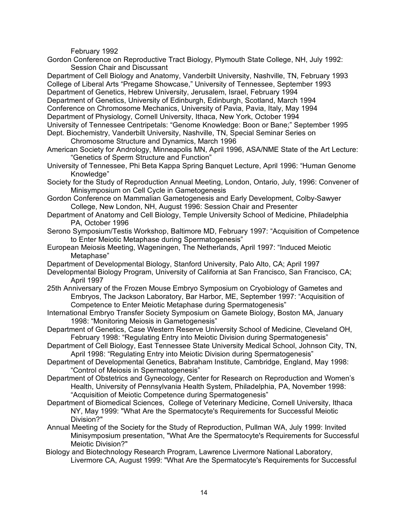February 1992

Gordon Conference on Reproductive Tract Biology, Plymouth State College, NH, July 1992: Session Chair and Discussant

Department of Cell Biology and Anatomy, Vanderbilt University, Nashville, TN, February 1993 College of Liberal Arts "Pregame Showcase," University of Tennessee, September 1993 Department of Genetics, Hebrew University, Jerusalem, Israel, February 1994 Department of Genetics, University of Edinburgh, Edinburgh, Scotland, March 1994 Conference on Chromosome Mechanics, University of Pavia, Pavia, Italy, May 1994 Department of Physiology, Cornell University, Ithaca, New York, October 1994 University of Tennessee Centripetals: "Genome Knowledge: Boon or Bane;" September 1995 Dept. Biochemistry, Vanderbilt University, Nashville, TN, Special Seminar Series on Chromosome Structure and Dynamics, March 1996 American Society for Andrology, Minneapolis MN, April 1996, ASA/NME State of the Art Lecture:

"Genetics of Sperm Structure and Function" University of Tennessee, Phi Beta Kappa Spring Banquet Lecture, April 1996: "Human Genome

- Knowledge"
- Society for the Study of Reproduction Annual Meeting, London, Ontario, July, 1996: Convener of Minisymposium on Cell Cycle in Gametogenesis
- Gordon Conference on Mammalian Gametogenesis and Early Development, Colby-Sawyer College, New London, NH, August 1996: Session Chair and Presenter
- Department of Anatomy and Cell Biology, Temple University School of Medicine, Philadelphia PA, October 1996
- Serono Symposium/Testis Workshop, Baltimore MD, February 1997: "Acquisition of Competence to Enter Meiotic Metaphase during Spermatogenesis"
- European Meiosis Meeting, Wageningen, The Netherlands, April 1997: "Induced Meiotic Metaphase"
- Department of Developmental Biology, Stanford University, Palo Alto, CA; April 1997
- Developmental Biology Program, University of California at San Francisco, San Francisco, CA; April 1997
- 25th Anniversary of the Frozen Mouse Embryo Symposium on Cryobiology of Gametes and Embryos, The Jackson Laboratory, Bar Harbor, ME, September 1997: "Acquisition of Competence to Enter Meiotic Metaphase during Spermatogenesis"
- International Embryo Transfer Society Symposium on Gamete Biology, Boston MA, January 1998: "Monitoring Meiosis in Gametogenesis"
- Department of Genetics, Case Western Reserve University School of Medicine, Cleveland OH, February 1998: "Regulating Entry into Meiotic Division during Spermatogenesis"
- Department of Cell Biology, East Tennessee State University Medical School, Johnson City, TN, April 1998: "Regulating Entry into Meiotic Division during Spermatogenesis"
- Department of Developmental Genetics, Babraham Institute, Cambridge, England, May 1998: "Control of Meiosis in Spermatogenesis"
- Department of Obstetrics and Gynecology, Center for Research on Reproduction and Women's Health, University of Pennsylvania Health System, Philadelphia, PA, November 1998: "Acquisition of Meiotic Competence during Spermatogenesis"
- Department of Biomedical Sciences, College of Veterinary Medicine, Cornell University, Ithaca NY, May 1999: "What Are the Spermatocyte's Requirements for Successful Meiotic Division?"
- Annual Meeting of the Society for the Study of Reproduction, Pullman WA, July 1999: Invited Minisymposium presentation, "What Are the Spermatocyte's Requirements for Successful Meiotic Division?"
- Biology and Biotechnology Research Program, Lawrence Livermore National Laboratory, Livermore CA, August 1999: "What Are the Spermatocyte's Requirements for Successful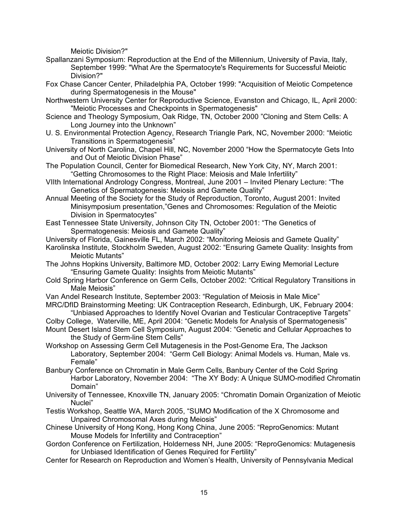Meiotic Division?"

- Spallanzani Symposium: Reproduction at the End of the Millennium, University of Pavia, Italy, September 1999: "What Are the Spermatocyte's Requirements for Successful Meiotic Division?"
- Fox Chase Cancer Center, Philadelphia PA, October 1999: "Acquisition of Meiotic Competence during Spermatogenesis in the Mouse"
- Northwestern University Center for Reproductive Science, Evanston and Chicago, IL, April 2000: "Meiotic Processes and Checkpoints in Spermatogenesis"
- Science and Theology Symposium, Oak Ridge, TN, October 2000 "Cloning and Stem Cells: A Long Journey into the Unknown"
- U. S. Environmental Protection Agency, Research Triangle Park, NC, November 2000: "Meiotic Transitions in Spermatogenesis"
- University of North Carolina, Chapel Hill, NC, November 2000 "How the Spermatocyte Gets Into and Out of Meiotic Division Phase"
- The Population Council, Center for Biomedical Research, New York City, NY, March 2001: "Getting Chromosomes to the Right Place: Meiosis and Male Infertility"
- VIIth International Andrology Congress, Montreal, June 2001 Invited Plenary Lecture: "The Genetics of Spermatogenesis: Meiosis and Gamete Quality"
- Annual Meeting of the Society for the Study of Reproduction, Toronto, August 2001: Invited Minisymposium presentation,"Genes and Chromosomes: Regulation of the Meiotic Division in Spermatocytes"
- East Tennessee State University, Johnson City TN, October 2001: "The Genetics of Spermatogenesis: Meiosis and Gamete Quality"
- University of Florida, Gainesville FL, March 2002: "Monitoring Meiosis and Gamete Quality"
- Karolinska Institute, Stockholm Sweden, August 2002: "Ensuring Gamete Quality: Insights from Meiotic Mutants"
- The Johns Hopkins University, Baltimore MD, October 2002: Larry Ewing Memorial Lecture "Ensuring Gamete Quality: Insights from Meiotic Mutants"
- Cold Spring Harbor Conference on Germ Cells, October 2002: "Critical Regulatory Transitions in Male Meiosis"
- Van Andel Research Institute, September 2003: "Regulation of Meiosis in Male Mice"
- MRC/DfID Brainstorming Meeting: UK Contraception Research, Edinburgh, UK, February 2004: "Unbiased Approaches to Identify Novel Ovarian and Testicular Contraceptive Targets"
- Colby College, Waterville, ME, April 2004: "Genetic Models for Analysis of Spermatogenesis"
- Mount Desert Island Stem Cell Symposium, August 2004: "Genetic and Cellular Approaches to the Study of Germ-line Stem Cells"
- Workshop on Assessing Germ Cell Mutagenesis in the Post-Genome Era, The Jackson Laboratory, September 2004: "Germ Cell Biology: Animal Models vs. Human, Male vs. Female"
- Banbury Conference on Chromatin in Male Germ Cells, Banbury Center of the Cold Spring Harbor Laboratory, November 2004: "The XY Body: A Unique SUMO-modified Chromatin Domain"
- University of Tennessee, Knoxville TN, January 2005: "Chromatin Domain Organization of Meiotic Nuclei"
- Testis Workshop, Seattle WA, March 2005, "SUMO Modification of the X Chromosome and Unpaired Chromosomal Axes during Meiosis"
- Chinese University of Hong Kong, Hong Kong China, June 2005: "ReproGenomics: Mutant Mouse Models for Infertility and Contraception"
- Gordon Conference on Fertilization, Holderness NH, June 2005: "ReproGenomics: Mutagenesis for Unbiased Identification of Genes Required for Fertility"
- Center for Research on Reproduction and Women's Health, University of Pennsylvania Medical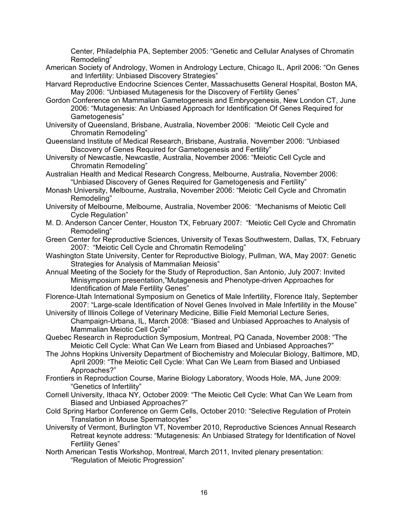Center, Philadelphia PA, September 2005: "Genetic and Cellular Analyses of Chromatin Remodeling"

- American Society of Andrology, Women in Andrology Lecture, Chicago IL, April 2006: "On Genes and Infertility: Unbiased Discovery Strategies"
- Harvard Reproductive Endocrine Sciences Center, Massachusetts General Hospital, Boston MA, May 2006: "Unbiased Mutagenesis for the Discovery of Fertility Genes"
- Gordon Conference on Mammalian Gametogenesis and Embryogenesis, New London CT, June 2006: "Mutagenesis: An Unbiased Approach for Identification Of Genes Required for Gametogenesis"
- University of Queensland, Brisbane, Australia, November 2006: "Meiotic Cell Cycle and Chromatin Remodeling"
- Queensland Institute of Medical Research, Brisbane, Australia, November 2006: "Unbiased Discovery of Genes Required for Gametogenesis and Fertility"
- University of Newcastle, Newcastle, Australia, November 2006: "Meiotic Cell Cycle and Chromatin Remodeling"
- Australian Health and Medical Research Congress, Melbourne, Australia, November 2006: "Unbiased Discovery of Genes Required for Gametogenesis and Fertility"
- Monash University, Melbourne, Australia, November 2006: "Meiotic Cell Cycle and Chromatin Remodeling"
- University of Melbourne, Melbourne, Australia, November 2006: "Mechanisms of Meiotic Cell Cycle Regulation"
- M. D. Anderson Cancer Center, Houston TX, February 2007: "Meiotic Cell Cycle and Chromatin Remodeling"
- Green Center for Reproductive Sciences, University of Texas Southwestern, Dallas, TX, February 2007: "Meiotic Cell Cycle and Chromatin Remodeling"
- Washington State University, Center for Reproductive Biology, Pullman, WA, May 2007: Genetic Strategies for Analysis of Mammalian Meiosis"
- Annual Meeting of the Society for the Study of Reproduction, San Antonio, July 2007: Invited Minisymposium presentation,"Mutagenesis and Phenotype-driven Approaches for Identification of Male Fertility Genes"
- Florence-Utah International Symposium on Genetics of Male Infertility, Florence Italy, September 2007: "Large-scale Identification of Novel Genes Involved in Male Infertility in the Mouse"
- University of Illinois College of Veterinary Medicine, Billie Field Memorial Lecture Series, Champaign-Urbana, IL, March 2008: "Biased and Unbiased Approaches to Analysis of Mammalian Meiotic Cell Cycle"
- Quebec Research in Reproduction Symposium, Montreal, PQ Canada, November 2008: "The Meiotic Cell Cycle: What Can We Learn from Biased and Unbiased Approaches?"
- The Johns Hopkins University Department of Biochemistry and Molecular Biology, Baltimore, MD, April 2009: "The Meiotic Cell Cycle: What Can We Learn from Biased and Unbiased Approaches?"
- Frontiers in Reproduction Course, Marine Biology Laboratory, Woods Hole, MA, June 2009: "Genetics of Infertility"
- Cornell University, Ithaca NY, October 2009: "The Meiotic Cell Cycle: What Can We Learn from Biased and Unbiased Approaches?"
- Cold Spring Harbor Conference on Germ Cells, October 2010: "Selective Regulation of Protein Translation in Mouse Spermatocytes"
- University of Vermont, Burlington VT, November 2010, Reproductive Sciences Annual Research Retreat keynote address: "Mutagenesis: An Unbiased Strategy for Identification of Novel Fertility Genes"
- North American Testis Workshop, Montreal, March 2011, Invited plenary presentation: "Regulation of Meiotic Progression"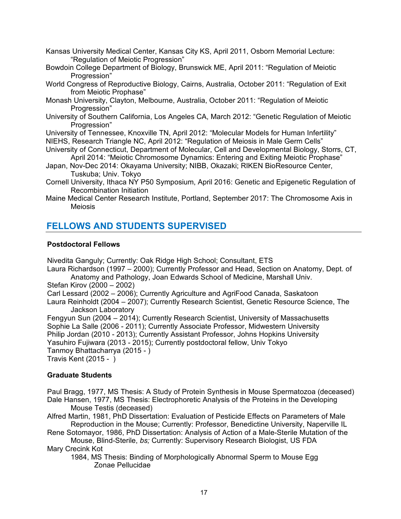- Kansas University Medical Center, Kansas City KS, April 2011, Osborn Memorial Lecture: "Regulation of Meiotic Progression"
- Bowdoin College Department of Biology, Brunswick ME, April 2011: "Regulation of Meiotic Progression"
- World Congress of Reproductive Biology, Cairns, Australia, October 2011: "Regulation of Exit from Meiotic Prophase"
- Monash University, Clayton, Melbourne, Australia, October 2011: "Regulation of Meiotic Progression"
- University of Southern California, Los Angeles CA, March 2012: "Genetic Regulation of Meiotic Progression"

University of Tennessee, Knoxville TN, April 2012: "Molecular Models for Human Infertility" NIEHS, Research Triangle NC, April 2012: "Regulation of Meiosis in Male Germ Cells"

- University of Connecticut, Department of Molecular, Cell and Developmental Biology, Storrs, CT, April 2014: "Meiotic Chromosome Dynamics: Entering and Exiting Meiotic Prophase"
- Japan, Nov-Dec 2014: Okayama University; NIBB, Okazaki; RIKEN BioResource Center, Tuskuba; Univ. Tokyo
- Cornell University, Ithaca NY P50 Symposium, April 2016: Genetic and Epigenetic Regulation of Recombination Initiation
- Maine Medical Center Research Institute, Portland, September 2017: The Chromosome Axis in Meiosis

# **FELLOWS AND STUDENTS SUPERVISED**

#### **Postdoctoral Fellows**

Nivedita Ganguly; Currently: Oak Ridge High School; Consultant, ETS Laura Richardson (1997 – 2000); Currently Professor and Head, Section on Anatomy, Dept. of Anatomy and Pathology, Joan Edwards School of Medicine, Marshall Univ. Stefan Kirov (2000 – 2002) Carl Lessard (2002 – 2006); Currently Agriculture and AgriFood Canada, Saskatoon Laura Reinholdt (2004 – 2007); Currently Research Scientist, Genetic Resource Science, The Jackson Laboratory Fengyun Sun (2004 – 2014); Currently Research Scientist, University of Massachusetts Sophie La Salle (2006 - 2011); Currently Associate Professor, Midwestern University Philip Jordan (2010 - 2013); Currently Assistant Professor, Johns Hopkins University Yasuhiro Fujiwara (2013 - 2015); Currently postdoctoral fellow, Univ Tokyo

Tanmoy Bhattacharrya (2015 - )

Travis Kent (2015 - )

#### **Graduate Students**

Paul Bragg, 1977, MS Thesis: A Study of Protein Synthesis in Mouse Spermatozoa (deceased) Dale Hansen, 1977, MS Thesis: Electrophoretic Analysis of the Proteins in the Developing

- Mouse Testis (deceased)
- Alfred Martin, 1981, PhD Dissertation: Evaluation of Pesticide Effects on Parameters of Male Reproduction in the Mouse; Currently: Professor, Benedictine University, Naperville IL
- Rene Sotomayor, 1986, PhD Dissertation: Analysis of Action of a Male-Sterile Mutation of the Mouse, Blind-Sterile, *bs;* Currently: Supervisory Research Biologist, US FDA

#### Mary Crecink Kot

1984, MS Thesis: Binding of Morphologically Abnormal Sperm to Mouse Egg Zonae Pellucidae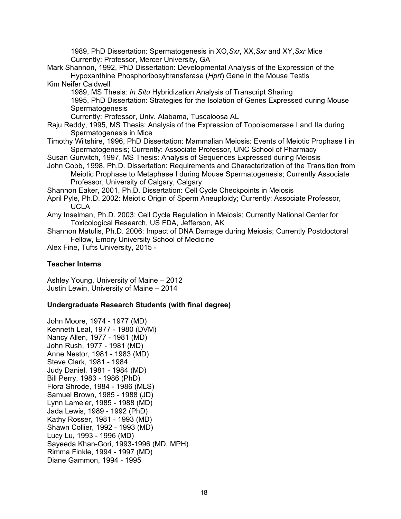1989, PhD Dissertation: Spermatogenesis in XO,*Sxr*, XX,*Sxr* and XY,*Sxr* Mice Currently: Professor, Mercer University, GA

Mark Shannon, 1992, PhD Dissertation: Developmental Analysis of the Expression of the Hypoxanthine Phosphoribosyltransferase (*Hprt*) Gene in the Mouse Testis

Kim Neifer Caldwell

1989, MS Thesis: *In Situ* Hybridization Analysis of Transcript Sharing 1995, PhD Dissertation: Strategies for the Isolation of Genes Expressed during Mouse **Spermatogenesis** 

Currently: Professor, Univ. Alabama, Tuscaloosa AL

Raju Reddy, 1995, MS Thesis: Analysis of the Expression of Topoisomerase I and IIa during Spermatogenesis in Mice

Timothy Wiltshire, 1996, PhD Dissertation: Mammalian Meiosis: Events of Meiotic Prophase I in Spermatogenesis; Currently: Associate Professor, UNC School of Pharmacy

Susan Gurwitch, 1997, MS Thesis: Analysis of Sequences Expressed during Meiosis

John Cobb, 1998, Ph.D. Dissertation: Requirements and Characterization of the Transition from Meiotic Prophase to Metaphase I during Mouse Spermatogenesis; Currently Associate Professor, University of Calgary, Calgary

Shannon Eaker, 2001, Ph.D. Dissertation: Cell Cycle Checkpoints in Meiosis

- April Pyle, Ph.D. 2002: Meiotic Origin of Sperm Aneuploidy; Currently: Associate Professor, UCLA
- Amy Inselman, Ph.D. 2003: Cell Cycle Regulation in Meiosis; Currently National Center for Toxicological Research, US FDA, Jefferson, AK

Shannon Matulis, Ph.D. 2006: Impact of DNA Damage during Meiosis; Currently Postdoctoral Fellow, Emory University School of Medicine

Alex Fine, Tufts University, 2015 -

#### **Teacher Interns**

Ashley Young, University of Maine – 2012 Justin Lewin, University of Maine – 2014

#### **Undergraduate Research Students (with final degree)**

John Moore, 1974 - 1977 (MD) Kenneth Leal, 1977 - 1980 (DVM) Nancy Allen, 1977 - 1981 (MD) John Rush, 1977 - 1981 (MD) Anne Nestor, 1981 - 1983 (MD) Steve Clark, 1981 - 1984 Judy Daniel, 1981 - 1984 (MD) Bill Perry, 1983 - 1986 (PhD) Flora Shrode, 1984 - 1986 (MLS) Samuel Brown, 1985 - 1988 (JD) Lynn Lameier, 1985 - 1988 (MD) Jada Lewis, 1989 - 1992 (PhD) Kathy Rosser, 1981 - 1993 (MD) Shawn Collier, 1992 - 1993 (MD) Lucy Lu, 1993 - 1996 (MD) Sayeeda Khan-Gori, 1993-1996 (MD, MPH) Rimma Finkle, 1994 - 1997 (MD) Diane Gammon, 1994 - 1995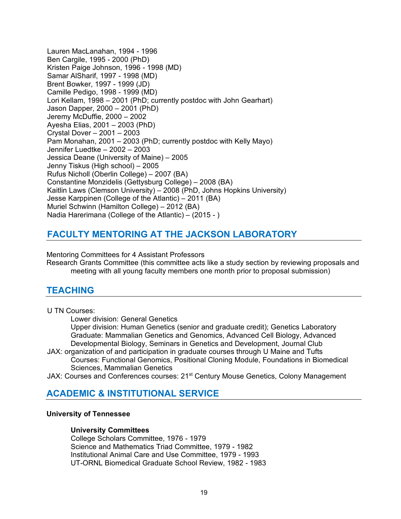Lauren MacLanahan, 1994 - 1996 Ben Cargile, 1995 - 2000 (PhD) Kristen Paige Johnson, 1996 - 1998 (MD) Samar AlSharif, 1997 - 1998 (MD) Brent Bowker, 1997 - 1999 (JD) Camille Pedigo, 1998 - 1999 (MD) Lori Kellam, 1998 – 2001 (PhD; currently postdoc with John Gearhart) Jason Dapper, 2000 – 2001 (PhD) Jeremy McDuffie, 2000 – 2002 Ayesha Elias, 2001 – 2003 (PhD) Crystal Dover – 2001 – 2003 Pam Monahan, 2001 – 2003 (PhD; currently postdoc with Kelly Mayo) Jennifer Luedtke – 2002 – 2003 Jessica Deane (University of Maine) – 2005 Jenny Tiskus (High school) – 2005 Rufus Nicholl (Oberlin College) – 2007 (BA) Constantine Monzidelis (Gettysburg College) – 2008 (BA) Kaitlin Laws (Clemson University) – 2008 (PhD, Johns Hopkins University) Jesse Karppinen (College of the Atlantic) – 2011 (BA) Muriel Schwinn (Hamilton College) – 2012 (BA) Nadia Harerimana (College of the Atlantic) – (2015 - )

# **FACULTY MENTORING AT THE JACKSON LABORATORY**

Mentoring Committees for 4 Assistant Professors

Research Grants Committee (this committee acts like a study section by reviewing proposals and meeting with all young faculty members one month prior to proposal submission)

## **TEACHING**

U TN Courses:

Lower division: General Genetics

Upper division: Human Genetics (senior and graduate credit); Genetics Laboratory Graduate: Mammalian Genetics and Genomics, Advanced Cell Biology, Advanced Developmental Biology, Seminars in Genetics and Development, Journal Club

JAX: organization of and participation in graduate courses through U Maine and Tufts Courses: Functional Genomics, Positional Cloning Module, Foundations in Biomedical Sciences, Mammalian Genetics

JAX: Courses and Conferences courses: 21<sup>st</sup> Century Mouse Genetics, Colony Management

## **ACADEMIC & INSTITUTIONAL SERVICE**

#### **University of Tennessee**

#### **University Committees**

College Scholars Committee, 1976 - 1979 Science and Mathematics Triad Committee, 1979 - 1982 Institutional Animal Care and Use Committee, 1979 - 1993 UT-ORNL Biomedical Graduate School Review, 1982 - 1983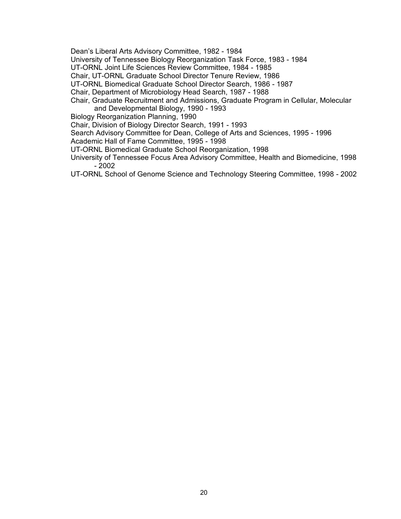Dean's Liberal Arts Advisory Committee, 1982 - 1984

University of Tennessee Biology Reorganization Task Force, 1983 - 1984

UT-ORNL Joint Life Sciences Review Committee, 1984 - 1985

Chair, UT-ORNL Graduate School Director Tenure Review, 1986

UT-ORNL Biomedical Graduate School Director Search, 1986 - 1987

Chair, Department of Microbiology Head Search, 1987 - 1988

Chair, Graduate Recruitment and Admissions, Graduate Program in Cellular, Molecular and Developmental Biology, 1990 - 1993

Biology Reorganization Planning, 1990

Chair, Division of Biology Director Search, 1991 - 1993

Search Advisory Committee for Dean, College of Arts and Sciences, 1995 - 1996

- Academic Hall of Fame Committee, 1995 1998
- UT-ORNL Biomedical Graduate School Reorganization, 1998

University of Tennessee Focus Area Advisory Committee, Health and Biomedicine, 1998  $-2002$ 

UT-ORNL School of Genome Science and Technology Steering Committee, 1998 - 2002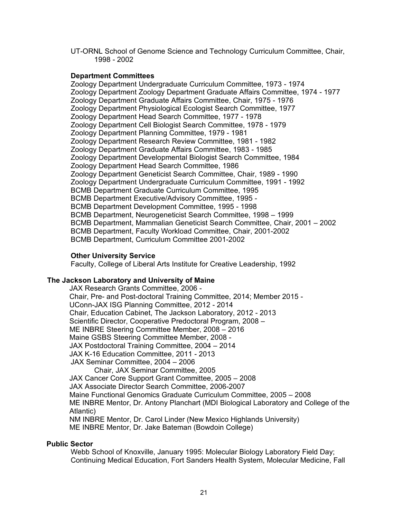UT-ORNL School of Genome Science and Technology Curriculum Committee, Chair, 1998 - 2002

#### **Department Committees**

Zoology Department Undergraduate Curriculum Committee, 1973 - 1974 Zoology Department Zoology Department Graduate Affairs Committee, 1974 - 1977 Zoology Department Graduate Affairs Committee, Chair, 1975 - 1976 Zoology Department Physiological Ecologist Search Committee, 1977 Zoology Department Head Search Committee, 1977 - 1978 Zoology Department Cell Biologist Search Committee, 1978 - 1979 Zoology Department Planning Committee, 1979 - 1981 Zoology Department Research Review Committee, 1981 - 1982 Zoology Department Graduate Affairs Committee, 1983 - 1985 Zoology Department Developmental Biologist Search Committee, 1984 Zoology Department Head Search Committee, 1986 Zoology Department Geneticist Search Committee, Chair, 1989 - 1990 Zoology Department Undergraduate Curriculum Committee, 1991 - 1992 BCMB Department Graduate Curriculum Committee, 1995 BCMB Department Executive/Advisory Committee, 1995 - BCMB Department Development Committee, 1995 - 1998 BCMB Department, Neurogeneticist Search Committee, 1998 – 1999 BCMB Department, Mammalian Geneticist Search Committee, Chair, 2001 – 2002 BCMB Department, Faculty Workload Committee, Chair, 2001-2002 BCMB Department, Curriculum Committee 2001-2002

#### **Other University Service**

Faculty, College of Liberal Arts Institute for Creative Leadership, 1992

#### **The Jackson Laboratory and University of Maine**

JAX Research Grants Committee, 2006 - Chair, Pre- and Post-doctoral Training Committee, 2014; Member 2015 - UConn-JAX ISG Planning Committee, 2012 - 2014 Chair, Education Cabinet, The Jackson Laboratory, 2012 - 2013 Scientific Director, Cooperative Predoctoral Program, 2008 – ME INBRE Steering Committee Member, 2008 – 2016 Maine GSBS Steering Committee Member, 2008 - JAX Postdoctoral Training Committee, 2004 – 2014 JAX K-16 Education Committee, 2011 - 2013 JAX Seminar Committee, 2004 – 2006 Chair, JAX Seminar Committee, 2005 JAX Cancer Core Support Grant Committee, 2005 – 2008 JAX Associate Director Search Committee, 2006-2007 Maine Functional Genomics Graduate Curriculum Committee, 2005 – 2008 ME INBRE Mentor, Dr. Antony Planchart (MDI Biological Laboratory and College of the Atlantic) NM INBRE Mentor, Dr. Carol Linder (New Mexico Highlands University) ME INBRE Mentor, Dr. Jake Bateman (Bowdoin College)

#### **Public Sector**

Webb School of Knoxville, January 1995: Molecular Biology Laboratory Field Day; Continuing Medical Education, Fort Sanders Health System, Molecular Medicine, Fall